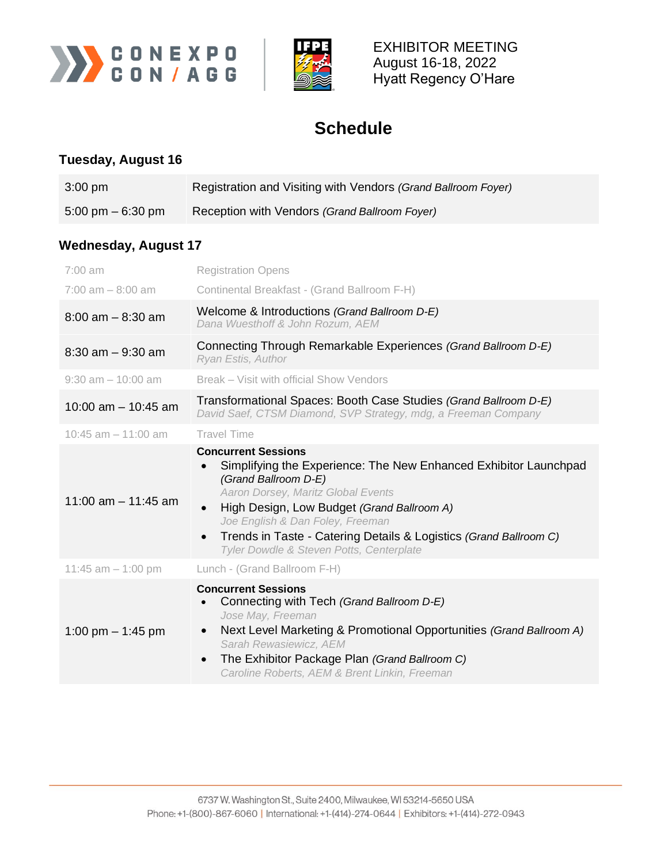



EXHIBITOR MEETING August 16-18, 2022 Hyatt Regency O'Hare

## **Schedule**

## **Tuesday, August 16**

| $3:00 \text{ pm}$                   | Registration and Visiting with Vendors (Grand Ballroom Foyer) |
|-------------------------------------|---------------------------------------------------------------|
| $5:00 \text{ pm} - 6:30 \text{ pm}$ | Reception with Vendors (Grand Ballroom Foyer)                 |

## **Wednesday, August 17**

| $7:00$ am             | <b>Registration Opens</b>                                                                                                                                                                                                                                                                                                                                                                              |
|-----------------------|--------------------------------------------------------------------------------------------------------------------------------------------------------------------------------------------------------------------------------------------------------------------------------------------------------------------------------------------------------------------------------------------------------|
| $7:00$ am $-8:00$ am  | Continental Breakfast - (Grand Ballroom F-H)                                                                                                                                                                                                                                                                                                                                                           |
| $8:00$ am $-8:30$ am  | Welcome & Introductions (Grand Ballroom D-E)<br>Dana Wuesthoff & John Rozum, AEM                                                                                                                                                                                                                                                                                                                       |
| $8:30$ am $-9:30$ am  | Connecting Through Remarkable Experiences (Grand Ballroom D-E)<br>Ryan Estis, Author                                                                                                                                                                                                                                                                                                                   |
| $9:30$ am $-10:00$ am | Break – Visit with official Show Vendors                                                                                                                                                                                                                                                                                                                                                               |
| 10:00 am $-$ 10:45 am | Transformational Spaces: Booth Case Studies (Grand Ballroom D-E)<br>David Saef, CTSM Diamond, SVP Strategy, mdg, a Freeman Company                                                                                                                                                                                                                                                                     |
| 10:45 am $-$ 11:00 am | <b>Travel Time</b>                                                                                                                                                                                                                                                                                                                                                                                     |
| 11:00 am $-$ 11:45 am | <b>Concurrent Sessions</b><br>Simplifying the Experience: The New Enhanced Exhibitor Launchpad<br>$\bullet$<br>(Grand Ballroom D-E)<br>Aaron Dorsey, Maritz Global Events<br>High Design, Low Budget (Grand Ballroom A)<br>$\bullet$<br>Joe English & Dan Foley, Freeman<br>Trends in Taste - Catering Details & Logistics (Grand Ballroom C)<br>$\bullet$<br>Tyler Dowdle & Steven Potts, Centerplate |
| 11:45 $am - 1:00$ pm  | Lunch - (Grand Ballroom F-H)                                                                                                                                                                                                                                                                                                                                                                           |
| 1:00 pm $-$ 1:45 pm   | <b>Concurrent Sessions</b><br>Connecting with Tech (Grand Ballroom D-E)<br>Jose May, Freeman<br>Next Level Marketing & Promotional Opportunities (Grand Ballroom A)<br>$\bullet$<br>Sarah Rewasiewicz, AEM<br>The Exhibitor Package Plan (Grand Ballroom C)<br>$\bullet$<br>Caroline Roberts, AEM & Brent Linkin, Freeman                                                                              |